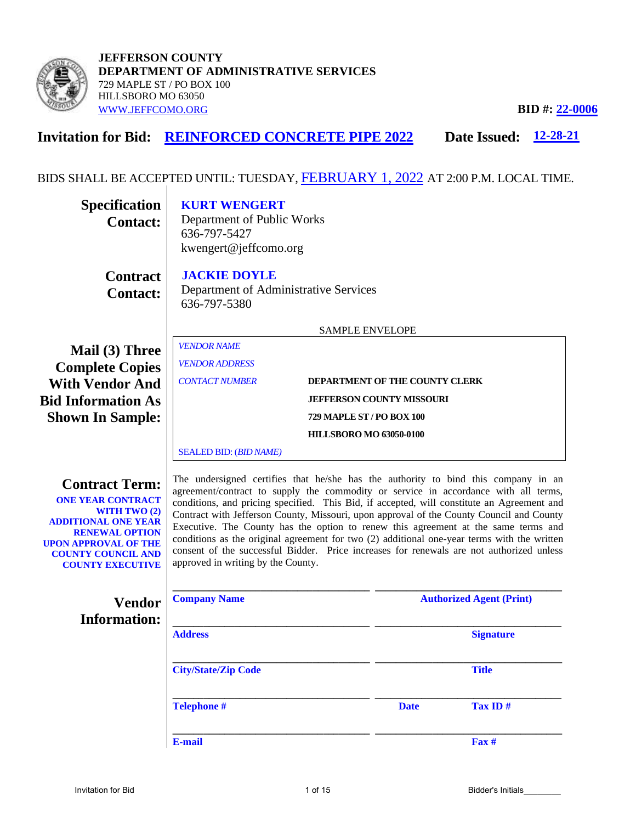

**Invitation for Bid: REINFORCED CONCRETE PIPE 2022 Date Issued:** 12-28-21

# BIDS SHALL BE ACCEPTED UNTIL: TUESDAY,  $\overline{\text{FEBRUARY 1, 2022}}$  AT 2:00 P.M. LOCAL TIME.

| <b>Specification</b><br><b>Contact:</b>                                                                                                                                                                                | <b>KURT WENGERT</b><br>Department of Public Works<br>636-797-5427<br>kwengert@jeffcomo.org                                                                                                                                                                                                                                                                                                                                                                                                                                                                                                                                                                                                 |                                |             |                                 |
|------------------------------------------------------------------------------------------------------------------------------------------------------------------------------------------------------------------------|--------------------------------------------------------------------------------------------------------------------------------------------------------------------------------------------------------------------------------------------------------------------------------------------------------------------------------------------------------------------------------------------------------------------------------------------------------------------------------------------------------------------------------------------------------------------------------------------------------------------------------------------------------------------------------------------|--------------------------------|-------------|---------------------------------|
| <b>Contract</b><br><b>Contact:</b>                                                                                                                                                                                     | <b>JACKIE DOYLE</b><br>Department of Administrative Services<br>636-797-5380                                                                                                                                                                                                                                                                                                                                                                                                                                                                                                                                                                                                               |                                |             |                                 |
|                                                                                                                                                                                                                        |                                                                                                                                                                                                                                                                                                                                                                                                                                                                                                                                                                                                                                                                                            | <b>SAMPLE ENVELOPE</b>         |             |                                 |
| Mail (3) Three<br><b>Complete Copies</b>                                                                                                                                                                               | <b>VENDOR NAME</b><br><b>VENDOR ADDRESS</b>                                                                                                                                                                                                                                                                                                                                                                                                                                                                                                                                                                                                                                                |                                |             |                                 |
| <b>With Vendor And</b>                                                                                                                                                                                                 | <b>CONTACT NUMBER</b><br>DEPARTMENT OF THE COUNTY CLERK                                                                                                                                                                                                                                                                                                                                                                                                                                                                                                                                                                                                                                    |                                |             |                                 |
| <b>Bid Information As</b>                                                                                                                                                                                              | <b>JEFFERSON COUNTY MISSOURI</b><br><b>729 MAPLE ST / PO BOX 100</b>                                                                                                                                                                                                                                                                                                                                                                                                                                                                                                                                                                                                                       |                                |             |                                 |
| <b>Shown In Sample:</b>                                                                                                                                                                                                |                                                                                                                                                                                                                                                                                                                                                                                                                                                                                                                                                                                                                                                                                            | <b>HILLSBORO MO 63050-0100</b> |             |                                 |
|                                                                                                                                                                                                                        | <b>SEALED BID: (BID NAME)</b>                                                                                                                                                                                                                                                                                                                                                                                                                                                                                                                                                                                                                                                              |                                |             |                                 |
| <b>Contract Term:</b><br><b>ONE YEAR CONTRACT</b><br><b>WITH TWO (2)</b><br><b>ADDITIONAL ONE YEAR</b><br><b>RENEWAL OPTION</b><br><b>UPON APPROVAL OF THE</b><br><b>COUNTY COUNCIL AND</b><br><b>COUNTY EXECUTIVE</b> | The undersigned certifies that he/she has the authority to bind this company in an<br>agreement/contract to supply the commodity or service in accordance with all terms,<br>conditions, and pricing specified. This Bid, if accepted, will constitute an Agreement and<br>Contract with Jefferson County, Missouri, upon approval of the County Council and County<br>Executive. The County has the option to renew this agreement at the same terms and<br>conditions as the original agreement for two (2) additional one-year terms with the written<br>consent of the successful Bidder. Price increases for renewals are not authorized unless<br>approved in writing by the County. |                                |             |                                 |
| <b>Vendor</b>                                                                                                                                                                                                          | <b>Company Name</b>                                                                                                                                                                                                                                                                                                                                                                                                                                                                                                                                                                                                                                                                        |                                |             | <b>Authorized Agent (Print)</b> |
| <b>Information:</b>                                                                                                                                                                                                    | <b>Address</b>                                                                                                                                                                                                                                                                                                                                                                                                                                                                                                                                                                                                                                                                             |                                |             | <b>Signature</b>                |
|                                                                                                                                                                                                                        | <b>City/State/Zip Code</b>                                                                                                                                                                                                                                                                                                                                                                                                                                                                                                                                                                                                                                                                 |                                |             | <b>Title</b>                    |
|                                                                                                                                                                                                                        | <b>Telephone #</b>                                                                                                                                                                                                                                                                                                                                                                                                                                                                                                                                                                                                                                                                         |                                | <b>Date</b> | Tax ID#                         |
|                                                                                                                                                                                                                        | E-mail                                                                                                                                                                                                                                                                                                                                                                                                                                                                                                                                                                                                                                                                                     |                                |             | $\mathbf{F}$ ax #               |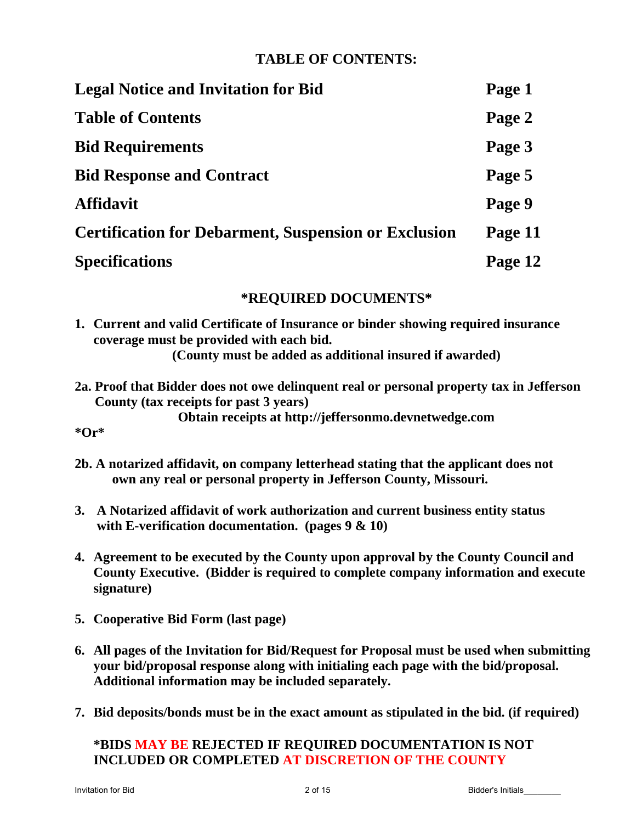# **TABLE OF CONTENTS:**

| <b>Legal Notice and Invitation for Bid</b>                  | Page 1  |
|-------------------------------------------------------------|---------|
| <b>Table of Contents</b>                                    | Page 2  |
| <b>Bid Requirements</b>                                     | Page 3  |
| <b>Bid Response and Contract</b>                            | Page 5  |
| <b>Affidavit</b>                                            | Page 9  |
| <b>Certification for Debarment, Suspension or Exclusion</b> | Page 11 |
| <b>Specifications</b>                                       | Page 12 |

# **\*REQUIRED DOCUMENTS\***

- **1. Current and valid Certificate of Insurance or binder showing required insurance coverage must be provided with each bid. (County must be added as additional insured if awarded)**
- **2a. Proof that Bidder does not owe delinquent real or personal property tax in Jefferson County (tax receipts for past 3 years)**

**Obtain receipts at http://jeffersonmo.devnetwedge.com**

- **\*Or\***
- **2b. A notarized affidavit, on company letterhead stating that the applicant does not own any real or personal property in Jefferson County, Missouri.**
- **3. A Notarized affidavit of work authorization and current business entity status with E-verification documentation. (pages 9 & 10)**
- **4. Agreement to be executed by the County upon approval by the County Council and County Executive. (Bidder is required to complete company information and execute signature)**
- **5. Cooperative Bid Form (last page)**
- **6. All pages of the Invitation for Bid/Request for Proposal must be used when submitting your bid/proposal response along with initialing each page with the bid/proposal. Additional information may be included separately.**
- **7. Bid deposits/bonds must be in the exact amount as stipulated in the bid. (if required)**

# **\*BIDS MAY BE REJECTED IF REQUIRED DOCUMENTATION IS NOT INCLUDED OR COMPLETED AT DISCRETION OF THE COUNTY**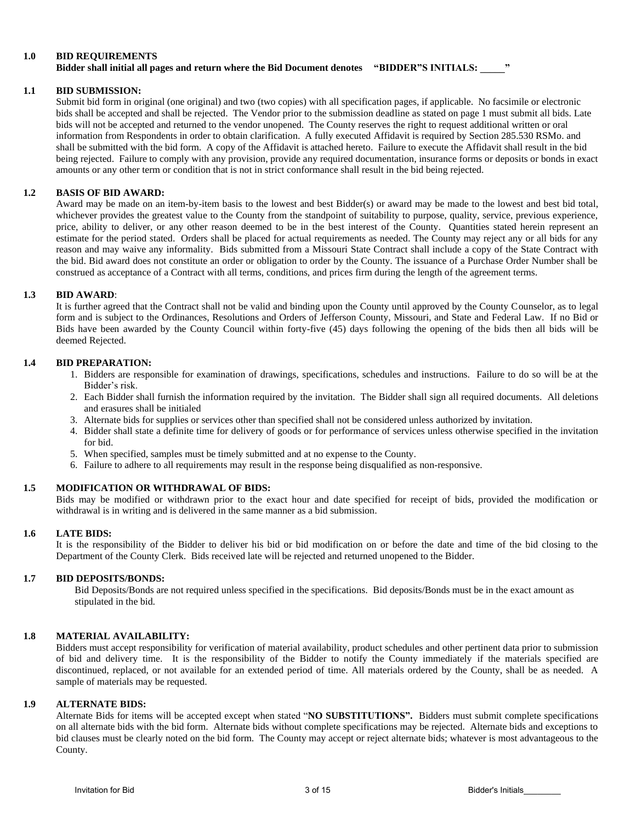#### **1.0 BID REQUIREMENTS Bidder shall initial all pages and return where the Bid Document denotes "BIDDER"S INITIALS: \_\_\_\_\_"**

#### **1.1 BID SUBMISSION:**

Submit bid form in original (one original) and two (two copies) with all specification pages, if applicable. No facsimile or electronic bids shall be accepted and shall be rejected. The Vendor prior to the submission deadline as stated on page 1 must submit all bids. Late bids will not be accepted and returned to the vendor unopened. The County reserves the right to request additional written or oral information from Respondents in order to obtain clarification. A fully executed Affidavit is required by Section 285.530 RSMo. and shall be submitted with the bid form. A copy of the Affidavit is attached hereto. Failure to execute the Affidavit shall result in the bid being rejected. Failure to comply with any provision, provide any required documentation, insurance forms or deposits or bonds in exact amounts or any other term or condition that is not in strict conformance shall result in the bid being rejected.

#### **1.2 BASIS OF BID AWARD:**

Award may be made on an item-by-item basis to the lowest and best Bidder(s) or award may be made to the lowest and best bid total, whichever provides the greatest value to the County from the standpoint of suitability to purpose, quality, service, previous experience, price, ability to deliver, or any other reason deemed to be in the best interest of the County. Quantities stated herein represent an estimate for the period stated. Orders shall be placed for actual requirements as needed. The County may reject any or all bids for any reason and may waive any informality. Bids submitted from a Missouri State Contract shall include a copy of the State Contract with the bid. Bid award does not constitute an order or obligation to order by the County. The issuance of a Purchase Order Number shall be construed as acceptance of a Contract with all terms, conditions, and prices firm during the length of the agreement terms.

#### **1.3 BID AWARD**:

It is further agreed that the Contract shall not be valid and binding upon the County until approved by the County Counselor, as to legal form and is subject to the Ordinances, Resolutions and Orders of Jefferson County, Missouri, and State and Federal Law. If no Bid or Bids have been awarded by the County Council within forty-five (45) days following the opening of the bids then all bids will be deemed Rejected.

#### **1.4 BID PREPARATION:**

- 1. Bidders are responsible for examination of drawings, specifications, schedules and instructions. Failure to do so will be at the Bidder's risk.
- 2. Each Bidder shall furnish the information required by the invitation. The Bidder shall sign all required documents. All deletions and erasures shall be initialed
- 3. Alternate bids for supplies or services other than specified shall not be considered unless authorized by invitation.
- 4. Bidder shall state a definite time for delivery of goods or for performance of services unless otherwise specified in the invitation for bid.
- 5. When specified, samples must be timely submitted and at no expense to the County.
- 6. Failure to adhere to all requirements may result in the response being disqualified as non-responsive.

#### **1.5 MODIFICATION OR WITHDRAWAL OF BIDS:**

Bids may be modified or withdrawn prior to the exact hour and date specified for receipt of bids, provided the modification or withdrawal is in writing and is delivered in the same manner as a bid submission.

#### **1.6 LATE BIDS:**

It is the responsibility of the Bidder to deliver his bid or bid modification on or before the date and time of the bid closing to the Department of the County Clerk. Bids received late will be rejected and returned unopened to the Bidder.

#### **1.7 BID DEPOSITS/BONDS:**

Bid Deposits/Bonds are not required unless specified in the specifications. Bid deposits/Bonds must be in the exact amount as stipulated in the bid.

#### **1.8 MATERIAL AVAILABILITY:**

Bidders must accept responsibility for verification of material availability, product schedules and other pertinent data prior to submission of bid and delivery time. It is the responsibility of the Bidder to notify the County immediately if the materials specified are discontinued, replaced, or not available for an extended period of time. All materials ordered by the County, shall be as needed. A sample of materials may be requested.

#### **1.9 ALTERNATE BIDS:**

Alternate Bids for items will be accepted except when stated "**NO SUBSTITUTIONS".** Bidders must submit complete specifications on all alternate bids with the bid form. Alternate bids without complete specifications may be rejected. Alternate bids and exceptions to bid clauses must be clearly noted on the bid form. The County may accept or reject alternate bids; whatever is most advantageous to the County.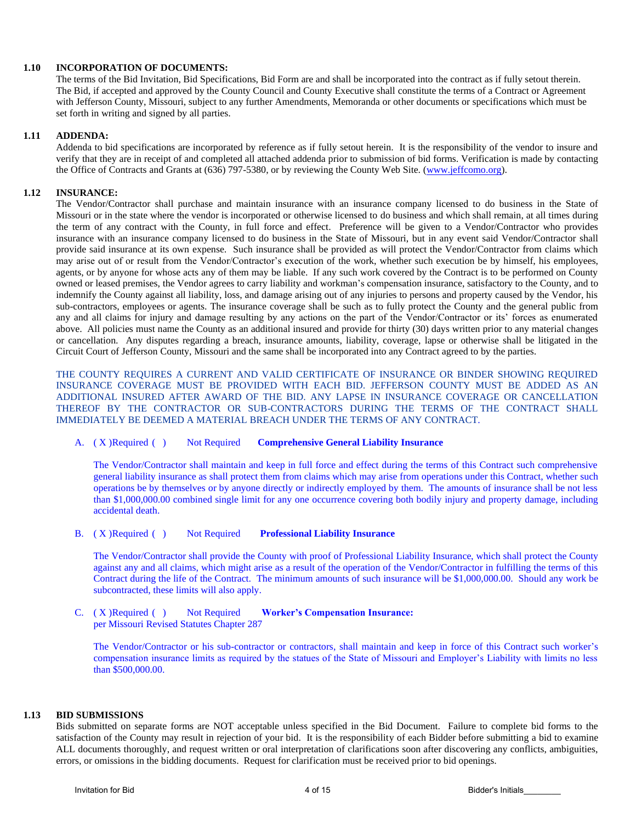#### **1.10 INCORPORATION OF DOCUMENTS:**

The terms of the Bid Invitation, Bid Specifications, Bid Form are and shall be incorporated into the contract as if fully setout therein. The Bid, if accepted and approved by the County Council and County Executive shall constitute the terms of a Contract or Agreement with Jefferson County, Missouri, subject to any further Amendments, Memoranda or other documents or specifications which must be set forth in writing and signed by all parties.

#### **1.11 ADDENDA:**

Addenda to bid specifications are incorporated by reference as if fully setout herein. It is the responsibility of the vendor to insure and verify that they are in receipt of and completed all attached addenda prior to submission of bid forms. Verification is made by contacting the Office of Contracts and Grants at (636) 797-5380, or by reviewing the County Web Site. [\(www.jeffcomo.org\)](http://www.jeffcomo.org/).

#### **1.12 INSURANCE:**

The Vendor/Contractor shall purchase and maintain insurance with an insurance company licensed to do business in the State of Missouri or in the state where the vendor is incorporated or otherwise licensed to do business and which shall remain, at all times during the term of any contract with the County, in full force and effect. Preference will be given to a Vendor/Contractor who provides insurance with an insurance company licensed to do business in the State of Missouri, but in any event said Vendor/Contractor shall provide said insurance at its own expense. Such insurance shall be provided as will protect the Vendor/Contractor from claims which may arise out of or result from the Vendor/Contractor's execution of the work, whether such execution be by himself, his employees, agents, or by anyone for whose acts any of them may be liable. If any such work covered by the Contract is to be performed on County owned or leased premises, the Vendor agrees to carry liability and workman's compensation insurance, satisfactory to the County, and to indemnify the County against all liability, loss, and damage arising out of any injuries to persons and property caused by the Vendor, his sub-contractors, employees or agents. The insurance coverage shall be such as to fully protect the County and the general public from any and all claims for injury and damage resulting by any actions on the part of the Vendor/Contractor or its' forces as enumerated above. All policies must name the County as an additional insured and provide for thirty (30) days written prior to any material changes or cancellation. Any disputes regarding a breach, insurance amounts, liability, coverage, lapse or otherwise shall be litigated in the Circuit Court of Jefferson County, Missouri and the same shall be incorporated into any Contract agreed to by the parties.

THE COUNTY REQUIRES A CURRENT AND VALID CERTIFICATE OF INSURANCE OR BINDER SHOWING REQUIRED INSURANCE COVERAGE MUST BE PROVIDED WITH EACH BID. JEFFERSON COUNTY MUST BE ADDED AS AN ADDITIONAL INSURED AFTER AWARD OF THE BID. ANY LAPSE IN INSURANCE COVERAGE OR CANCELLATION THEREOF BY THE CONTRACTOR OR SUB-CONTRACTORS DURING THE TERMS OF THE CONTRACT SHALL IMMEDIATELY BE DEEMED A MATERIAL BREACH UNDER THE TERMS OF ANY CONTRACT.

#### A. ( X )Required ( ) Not Required **Comprehensive General Liability Insurance**

The Vendor/Contractor shall maintain and keep in full force and effect during the terms of this Contract such comprehensive general liability insurance as shall protect them from claims which may arise from operations under this Contract, whether such operations be by themselves or by anyone directly or indirectly employed by them. The amounts of insurance shall be not less than \$1,000,000.00 combined single limit for any one occurrence covering both bodily injury and property damage, including accidental death.

#### B. ( X )Required ( ) Not Required **Professional Liability Insurance**

The Vendor/Contractor shall provide the County with proof of Professional Liability Insurance, which shall protect the County against any and all claims, which might arise as a result of the operation of the Vendor/Contractor in fulfilling the terms of this Contract during the life of the Contract. The minimum amounts of such insurance will be \$1,000,000.00. Should any work be subcontracted, these limits will also apply.

#### C. ( X )Required ( ) Not Required **Worker's Compensation Insurance:** per Missouri Revised Statutes Chapter 287

The Vendor/Contractor or his sub-contractor or contractors, shall maintain and keep in force of this Contract such worker's compensation insurance limits as required by the statues of the State of Missouri and Employer's Liability with limits no less than \$500,000.00.

#### **1.13 BID SUBMISSIONS**

Bids submitted on separate forms are NOT acceptable unless specified in the Bid Document. Failure to complete bid forms to the satisfaction of the County may result in rejection of your bid. It is the responsibility of each Bidder before submitting a bid to examine ALL documents thoroughly, and request written or oral interpretation of clarifications soon after discovering any conflicts, ambiguities, errors, or omissions in the bidding documents. Request for clarification must be received prior to bid openings.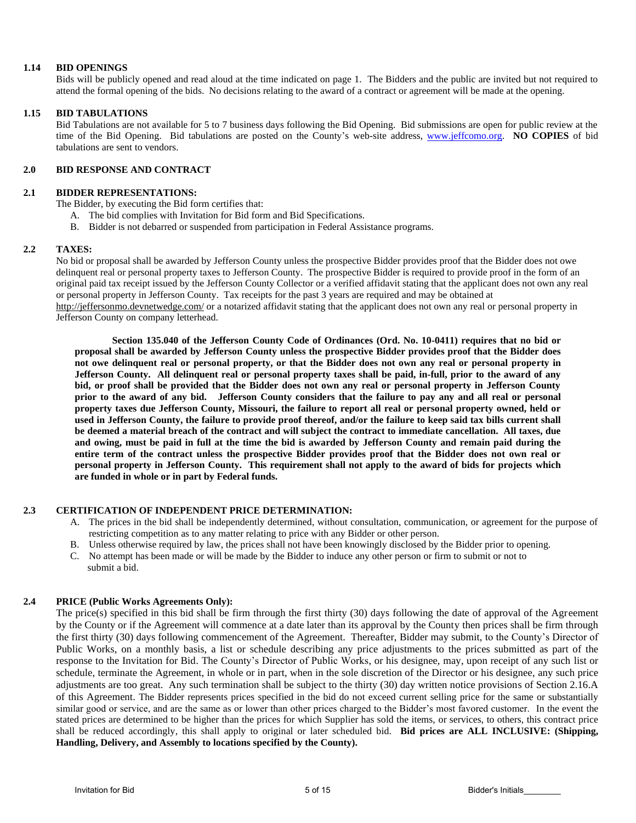#### **1.14 BID OPENINGS**

Bids will be publicly opened and read aloud at the time indicated on page 1. The Bidders and the public are invited but not required to attend the formal opening of the bids. No decisions relating to the award of a contract or agreement will be made at the opening.

#### **1.15 BID TABULATIONS**

Bid Tabulations are not available for 5 to 7 business days following the Bid Opening. Bid submissions are open for public review at the time of the Bid Opening. Bid tabulations are posted on the County's web-site address, [www.jeffcomo.org.](http://www.jeffcomo.org/) **NO COPIES** of bid tabulations are sent to vendors.

#### **2.0 BID RESPONSE AND CONTRACT**

#### **2.1 BIDDER REPRESENTATIONS:**

The Bidder, by executing the Bid form certifies that:

- A. The bid complies with Invitation for Bid form and Bid Specifications.
- B. Bidder is not debarred or suspended from participation in Federal Assistance programs.

#### **2.2 TAXES:**

No bid or proposal shall be awarded by Jefferson County unless the prospective Bidder provides proof that the Bidder does not owe delinquent real or personal property taxes to Jefferson County. The prospective Bidder is required to provide proof in the form of an original paid tax receipt issued by the Jefferson County Collector or a verified affidavit stating that the applicant does not own any real or personal property in Jefferson County. Tax receipts for the past 3 years are required and may be obtained at <http://jeffersonmo.devnetwedge.com/> or a notarized affidavit stating that the applicant does not own any real or personal property in Jefferson County on company letterhead.

**Section 135.040 of the Jefferson County Code of Ordinances (Ord. No. 10-0411) requires that no bid or proposal shall be awarded by Jefferson County unless the prospective Bidder provides proof that the Bidder does not owe delinquent real or personal property, or that the Bidder does not own any real or personal property in Jefferson County. All delinquent real or personal property taxes shall be paid, in-full, prior to the award of any bid, or proof shall be provided that the Bidder does not own any real or personal property in Jefferson County prior to the award of any bid. Jefferson County considers that the failure to pay any and all real or personal property taxes due Jefferson County, Missouri, the failure to report all real or personal property owned, held or used in Jefferson County, the failure to provide proof thereof, and/or the failure to keep said tax bills current shall be deemed a material breach of the contract and will subject the contract to immediate cancellation. All taxes, due and owing, must be paid in full at the time the bid is awarded by Jefferson County and remain paid during the entire term of the contract unless the prospective Bidder provides proof that the Bidder does not own real or personal property in Jefferson County. This requirement shall not apply to the award of bids for projects which are funded in whole or in part by Federal funds.**

#### **2.3 CERTIFICATION OF INDEPENDENT PRICE DETERMINATION:**

- A. The prices in the bid shall be independently determined, without consultation, communication, or agreement for the purpose of restricting competition as to any matter relating to price with any Bidder or other person.
- B. Unless otherwise required by law, the prices shall not have been knowingly disclosed by the Bidder prior to opening.
- C. No attempt has been made or will be made by the Bidder to induce any other person or firm to submit or not to submit a bid.

#### **2.4 PRICE (Public Works Agreements Only):**

The price(s) specified in this bid shall be firm through the first thirty (30) days following the date of approval of the Agreement by the County or if the Agreement will commence at a date later than its approval by the County then prices shall be firm through the first thirty (30) days following commencement of the Agreement. Thereafter, Bidder may submit, to the County's Director of Public Works, on a monthly basis, a list or schedule describing any price adjustments to the prices submitted as part of the response to the Invitation for Bid. The County's Director of Public Works, or his designee, may, upon receipt of any such list or schedule, terminate the Agreement, in whole or in part, when in the sole discretion of the Director or his designee, any such price adjustments are too great. Any such termination shall be subject to the thirty (30) day written notice provisions of Section 2.16.A of this Agreement. The Bidder represents prices specified in the bid do not exceed current selling price for the same or substantially similar good or service, and are the same as or lower than other prices charged to the Bidder's most favored customer. In the event the stated prices are determined to be higher than the prices for which Supplier has sold the items, or services, to others, this contract price shall be reduced accordingly, this shall apply to original or later scheduled bid. **Bid prices are ALL INCLUSIVE: (Shipping, Handling, Delivery, and Assembly to locations specified by the County).**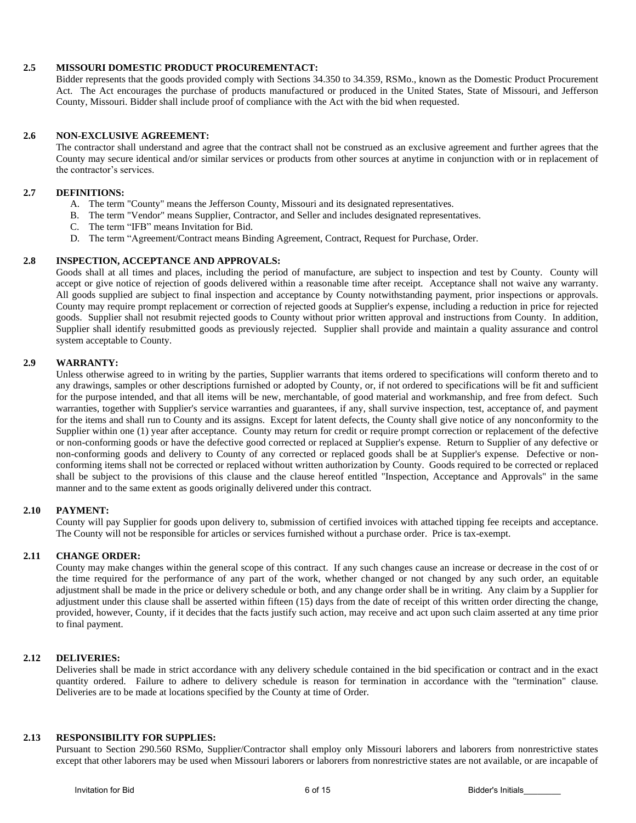#### **2.5 MISSOURI DOMESTIC PRODUCT PROCUREMENTACT:**

Bidder represents that the goods provided comply with Sections 34.350 to 34.359, RSMo., known as the Domestic Product Procurement Act. The Act encourages the purchase of products manufactured or produced in the United States, State of Missouri, and Jefferson County, Missouri. Bidder shall include proof of compliance with the Act with the bid when requested.

#### **2.6 NON-EXCLUSIVE AGREEMENT:**

The contractor shall understand and agree that the contract shall not be construed as an exclusive agreement and further agrees that the County may secure identical and/or similar services or products from other sources at anytime in conjunction with or in replacement of the contractor's services.

#### **2.7 DEFINITIONS:**

- A. The term "County" means the Jefferson County, Missouri and its designated representatives.
- B. The term "Vendor" means Supplier, Contractor, and Seller and includes designated representatives.
- C. The term "IFB" means Invitation for Bid.
- D. The term "Agreement/Contract means Binding Agreement, Contract, Request for Purchase, Order.

#### **2.8 INSPECTION, ACCEPTANCE AND APPROVALS:**

Goods shall at all times and places, including the period of manufacture, are subject to inspection and test by County. County will accept or give notice of rejection of goods delivered within a reasonable time after receipt. Acceptance shall not waive any warranty. All goods supplied are subject to final inspection and acceptance by County notwithstanding payment, prior inspections or approvals. County may require prompt replacement or correction of rejected goods at Supplier's expense, including a reduction in price for rejected goods. Supplier shall not resubmit rejected goods to County without prior written approval and instructions from County. In addition, Supplier shall identify resubmitted goods as previously rejected. Supplier shall provide and maintain a quality assurance and control system acceptable to County.

#### **2.9 WARRANTY:**

Unless otherwise agreed to in writing by the parties, Supplier warrants that items ordered to specifications will conform thereto and to any drawings, samples or other descriptions furnished or adopted by County, or, if not ordered to specifications will be fit and sufficient for the purpose intended, and that all items will be new, merchantable, of good material and workmanship, and free from defect. Such warranties, together with Supplier's service warranties and guarantees, if any, shall survive inspection, test, acceptance of, and payment for the items and shall run to County and its assigns. Except for latent defects, the County shall give notice of any nonconformity to the Supplier within one (1) year after acceptance. County may return for credit or require prompt correction or replacement of the defective or non-conforming goods or have the defective good corrected or replaced at Supplier's expense. Return to Supplier of any defective or non-conforming goods and delivery to County of any corrected or replaced goods shall be at Supplier's expense. Defective or nonconforming items shall not be corrected or replaced without written authorization by County. Goods required to be corrected or replaced shall be subject to the provisions of this clause and the clause hereof entitled "Inspection, Acceptance and Approvals" in the same manner and to the same extent as goods originally delivered under this contract.

#### **2.10 PAYMENT:**

County will pay Supplier for goods upon delivery to, submission of certified invoices with attached tipping fee receipts and acceptance. The County will not be responsible for articles or services furnished without a purchase order. Price is tax-exempt.

### **2.11 CHANGE ORDER:**

County may make changes within the general scope of this contract. If any such changes cause an increase or decrease in the cost of or the time required for the performance of any part of the work, whether changed or not changed by any such order, an equitable adjustment shall be made in the price or delivery schedule or both, and any change order shall be in writing. Any claim by a Supplier for adjustment under this clause shall be asserted within fifteen (15) days from the date of receipt of this written order directing the change, provided, however, County, if it decides that the facts justify such action, may receive and act upon such claim asserted at any time prior to final payment.

#### **2.12 DELIVERIES:**

Deliveries shall be made in strict accordance with any delivery schedule contained in the bid specification or contract and in the exact quantity ordered. Failure to adhere to delivery schedule is reason for termination in accordance with the "termination" clause. Deliveries are to be made at locations specified by the County at time of Order.

#### **2.13 RESPONSIBILITY FOR SUPPLIES:**

Pursuant to Section 290.560 RSMo, Supplier/Contractor shall employ only Missouri laborers and laborers from nonrestrictive states except that other laborers may be used when Missouri laborers or laborers from nonrestrictive states are not available, or are incapable of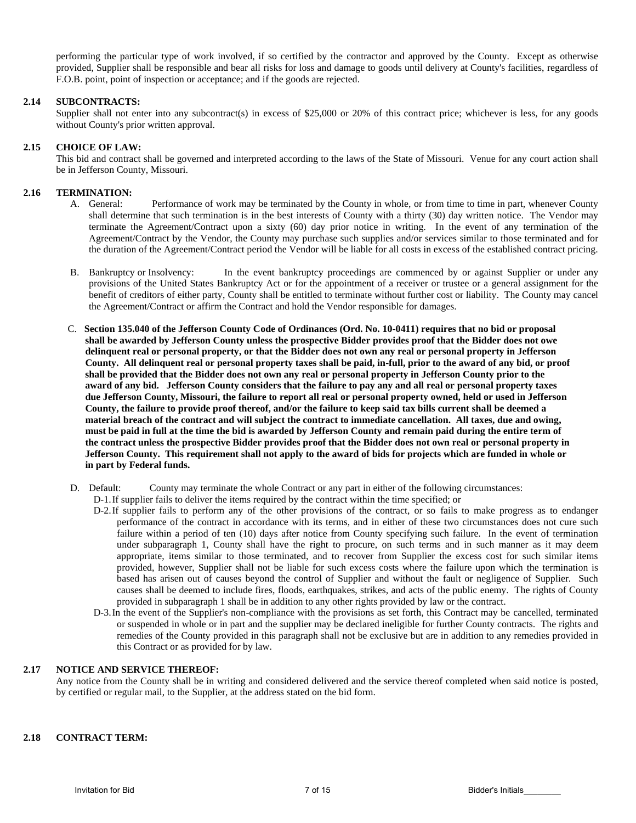performing the particular type of work involved, if so certified by the contractor and approved by the County. Except as otherwise provided, Supplier shall be responsible and bear all risks for loss and damage to goods until delivery at County's facilities, regardless of F.O.B. point, point of inspection or acceptance; and if the goods are rejected.

#### **2.14 SUBCONTRACTS:**

Supplier shall not enter into any subcontract(s) in excess of \$25,000 or 20% of this contract price; whichever is less, for any goods without County's prior written approval.

#### **2.15 CHOICE OF LAW:**

This bid and contract shall be governed and interpreted according to the laws of the State of Missouri. Venue for any court action shall be in Jefferson County, Missouri.

#### **2.16 TERMINATION:**

- A. General: Performance of work may be terminated by the County in whole, or from time to time in part, whenever County shall determine that such termination is in the best interests of County with a thirty (30) day written notice. The Vendor may terminate the Agreement/Contract upon a sixty (60) day prior notice in writing. In the event of any termination of the Agreement/Contract by the Vendor, the County may purchase such supplies and/or services similar to those terminated and for the duration of the Agreement/Contract period the Vendor will be liable for all costs in excess of the established contract pricing.
- B. Bankruptcy or Insolvency: In the event bankruptcy proceedings are commenced by or against Supplier or under any provisions of the United States Bankruptcy Act or for the appointment of a receiver or trustee or a general assignment for the benefit of creditors of either party, County shall be entitled to terminate without further cost or liability. The County may cancel the Agreement/Contract or affirm the Contract and hold the Vendor responsible for damages.
- C. **Section 135.040 of the Jefferson County Code of Ordinances (Ord. No. 10-0411) requires that no bid or proposal shall be awarded by Jefferson County unless the prospective Bidder provides proof that the Bidder does not owe delinquent real or personal property, or that the Bidder does not own any real or personal property in Jefferson County. All delinquent real or personal property taxes shall be paid, in-full, prior to the award of any bid, or proof shall be provided that the Bidder does not own any real or personal property in Jefferson County prior to the award of any bid. Jefferson County considers that the failure to pay any and all real or personal property taxes due Jefferson County, Missouri, the failure to report all real or personal property owned, held or used in Jefferson County, the failure to provide proof thereof, and/or the failure to keep said tax bills current shall be deemed a material breach of the contract and will subject the contract to immediate cancellation. All taxes, due and owing, must be paid in full at the time the bid is awarded by Jefferson County and remain paid during the entire term of the contract unless the prospective Bidder provides proof that the Bidder does not own real or personal property in Jefferson County. This requirement shall not apply to the award of bids for projects which are funded in whole or in part by Federal funds.**
- D. Default: County may terminate the whole Contract or any part in either of the following circumstances:
	- D-1.If supplier fails to deliver the items required by the contract within the time specified; or
	- D-2.If supplier fails to perform any of the other provisions of the contract, or so fails to make progress as to endanger performance of the contract in accordance with its terms, and in either of these two circumstances does not cure such failure within a period of ten (10) days after notice from County specifying such failure. In the event of termination under subparagraph 1, County shall have the right to procure, on such terms and in such manner as it may deem appropriate, items similar to those terminated, and to recover from Supplier the excess cost for such similar items provided, however, Supplier shall not be liable for such excess costs where the failure upon which the termination is based has arisen out of causes beyond the control of Supplier and without the fault or negligence of Supplier. Such causes shall be deemed to include fires, floods, earthquakes, strikes, and acts of the public enemy. The rights of County provided in subparagraph 1 shall be in addition to any other rights provided by law or the contract.
	- D-3.In the event of the Supplier's non-compliance with the provisions as set forth, this Contract may be cancelled, terminated or suspended in whole or in part and the supplier may be declared ineligible for further County contracts. The rights and remedies of the County provided in this paragraph shall not be exclusive but are in addition to any remedies provided in this Contract or as provided for by law.

#### **2.17 NOTICE AND SERVICE THEREOF:**

Any notice from the County shall be in writing and considered delivered and the service thereof completed when said notice is posted, by certified or regular mail, to the Supplier, at the address stated on the bid form.

#### **2.18 CONTRACT TERM:**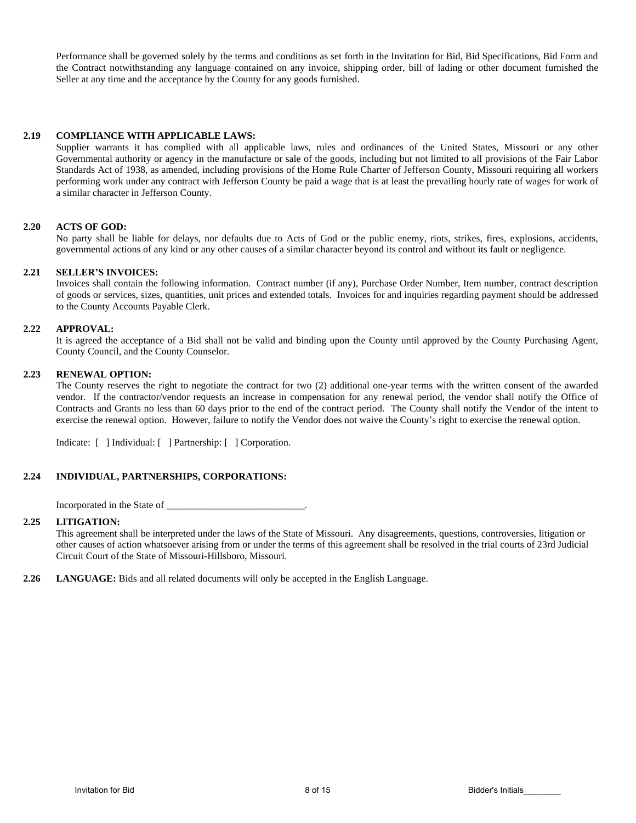Performance shall be governed solely by the terms and conditions as set forth in the Invitation for Bid, Bid Specifications, Bid Form and the Contract notwithstanding any language contained on any invoice, shipping order, bill of lading or other document furnished the Seller at any time and the acceptance by the County for any goods furnished.

#### **2.19 COMPLIANCE WITH APPLICABLE LAWS:**

Supplier warrants it has complied with all applicable laws, rules and ordinances of the United States, Missouri or any other Governmental authority or agency in the manufacture or sale of the goods, including but not limited to all provisions of the Fair Labor Standards Act of 1938, as amended, including provisions of the Home Rule Charter of Jefferson County, Missouri requiring all workers performing work under any contract with Jefferson County be paid a wage that is at least the prevailing hourly rate of wages for work of a similar character in Jefferson County.

#### **2.20 ACTS OF GOD:**

No party shall be liable for delays, nor defaults due to Acts of God or the public enemy, riots, strikes, fires, explosions, accidents, governmental actions of any kind or any other causes of a similar character beyond its control and without its fault or negligence.

#### **2.21 SELLER'S INVOICES:**

Invoices shall contain the following information. Contract number (if any), Purchase Order Number, Item number, contract description of goods or services, sizes, quantities, unit prices and extended totals. Invoices for and inquiries regarding payment should be addressed to the County Accounts Payable Clerk.

#### **2.22 APPROVAL:**

It is agreed the acceptance of a Bid shall not be valid and binding upon the County until approved by the County Purchasing Agent, County Council, and the County Counselor.

#### **2.23 RENEWAL OPTION:**

The County reserves the right to negotiate the contract for two (2) additional one-year terms with the written consent of the awarded vendor. If the contractor/vendor requests an increase in compensation for any renewal period, the vendor shall notify the Office of Contracts and Grants no less than 60 days prior to the end of the contract period. The County shall notify the Vendor of the intent to exercise the renewal option. However, failure to notify the Vendor does not waive the County's right to exercise the renewal option.

Indicate: [ ] Individual: [ ] Partnership: [ ] Corporation.

#### **2.24 INDIVIDUAL, PARTNERSHIPS, CORPORATIONS:**

Incorporated in the State of

#### **2.25 LITIGATION:**

This agreement shall be interpreted under the laws of the State of Missouri. Any disagreements, questions, controversies, litigation or other causes of action whatsoever arising from or under the terms of this agreement shall be resolved in the trial courts of 23rd Judicial Circuit Court of the State of Missouri-Hillsboro, Missouri.

**2.26 LANGUAGE:** Bids and all related documents will only be accepted in the English Language.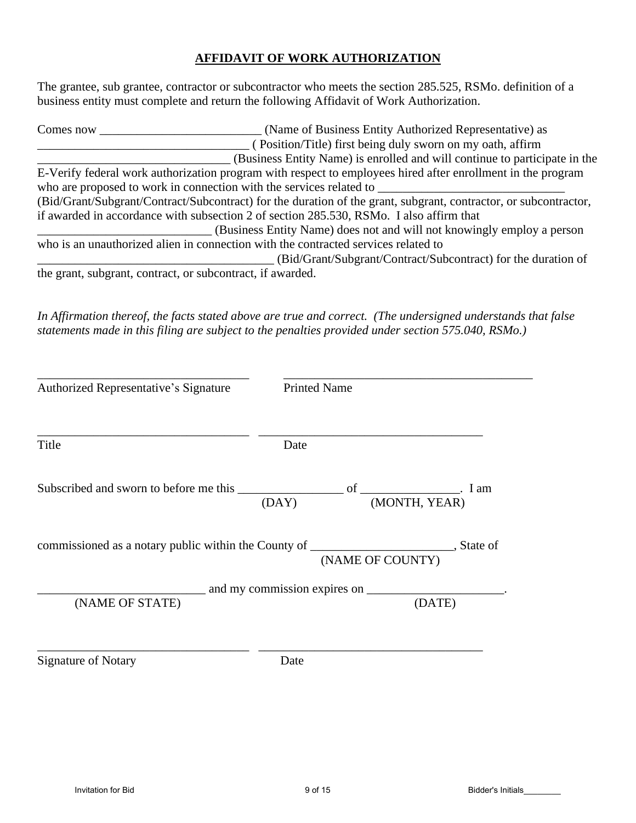### **AFFIDAVIT OF WORK AUTHORIZATION**

The grantee, sub grantee, contractor or subcontractor who meets the section 285.525, RSMo. definition of a business entity must complete and return the following Affidavit of Work Authorization.

| Comes now | (Name of Business Entity Authorized Representative) as                                                           |
|-----------|------------------------------------------------------------------------------------------------------------------|
|           | (Position/Title) first being duly sworn on my oath, affirm                                                       |
|           | (Business Entity Name) is enrolled and will continue to participate in the                                       |
|           | E-Verify federal work authorization program with respect to employees hired after enrollment in the program      |
|           |                                                                                                                  |
|           | (Bid/Grant/Subgrant/Contract/Subcontract) for the duration of the grant, subgrant, contractor, or subcontractor, |
|           | if awarded in accordance with subsection 2 of section 285.530, RSMo. I also affirm that                          |
|           | (Business Entity Name) does not and will not knowingly employ a person                                           |
|           | who is an unauthorized alien in connection with the contracted services related to                               |
|           | (Bid/Grant/Subgrant/Contract/Subcontract) for the duration of                                                    |
|           | the grant, subgrant, contract, or subcontract, if awarded.                                                       |

*In Affirmation thereof, the facts stated above are true and correct. (The undersigned understands that false statements made in this filing are subject to the penalties provided under section 575.040, RSMo.)*

| Authorized Representative's Signature                                                                                    | <b>Printed Name</b> |                  |  |  |
|--------------------------------------------------------------------------------------------------------------------------|---------------------|------------------|--|--|
| Title                                                                                                                    | Date                |                  |  |  |
| Subscribed and sworn to before me this $\frac{\overline{\text{OAY}}}{}$ of $\frac{\overline{\text{MONTH, YEAR}}}{}$ I am |                     |                  |  |  |
| commissioned as a notary public within the County of ____________________________, State of                              |                     | (NAME OF COUNTY) |  |  |
| (DATE)<br>(NAME OF STATE)                                                                                                |                     |                  |  |  |
| <b>Signature of Notary</b>                                                                                               | Date                |                  |  |  |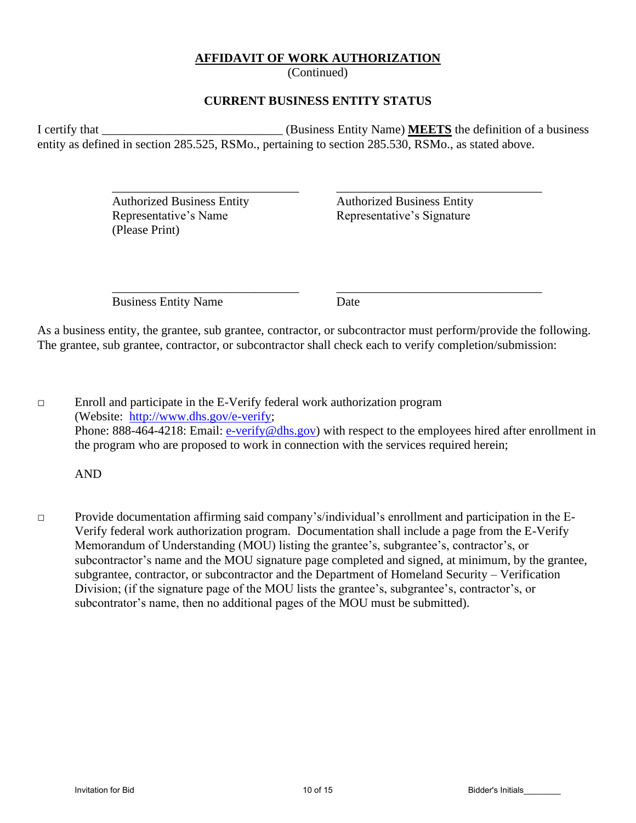### **AFFIDAVIT OF WORK AUTHORIZATION**

(Continued)

### **CURRENT BUSINESS ENTITY STATUS**

I certify that \_\_\_\_\_\_\_\_\_\_\_\_\_\_\_\_\_\_\_\_\_\_\_\_\_\_\_\_\_ (Business Entity Name) **MEETS** the definition of a business entity as defined in section 285.525, RSMo., pertaining to section 285.530, RSMo., as stated above.

\_\_\_\_\_\_\_\_\_\_\_\_\_\_\_\_\_\_\_\_\_\_\_\_\_\_\_\_\_\_ \_\_\_\_\_\_\_\_\_\_\_\_\_\_\_\_\_\_\_\_\_\_\_\_\_\_\_\_\_\_\_\_\_

\_\_\_\_\_\_\_\_\_\_\_\_\_\_\_\_\_\_\_\_\_\_\_\_\_\_\_\_\_\_ \_\_\_\_\_\_\_\_\_\_\_\_\_\_\_\_\_\_\_\_\_\_\_\_\_\_\_\_\_\_\_\_\_

Authorized Business Entity Authorized Business Entity Representative's Name Representative's Signature (Please Print)

Business Entity Name Date

As a business entity, the grantee, sub grantee, contractor, or subcontractor must perform/provide the following. The grantee, sub grantee, contractor, or subcontractor shall check each to verify completion/submission:

 $\Box$  Enroll and participate in the E-Verify federal work authorization program (Website: [http://www.dhs.gov/e-verify;](http://www.dhs.gov/e-verify) Phone: 888-464-4218: Email: [e-verify@dhs.gov\)](mailto:e-verify@dhs.gov) with respect to the employees hired after enrollment in the program who are proposed to work in connection with the services required herein;

AND

□ Provide documentation affirming said company's/individual's enrollment and participation in the E-Verify federal work authorization program. Documentation shall include a page from the E-Verify Memorandum of Understanding (MOU) listing the grantee's, subgrantee's, contractor's, or subcontractor's name and the MOU signature page completed and signed, at minimum, by the grantee, subgrantee, contractor, or subcontractor and the Department of Homeland Security – Verification Division; (if the signature page of the MOU lists the grantee's, subgrantee's, contractor's, or subcontrator's name, then no additional pages of the MOU must be submitted).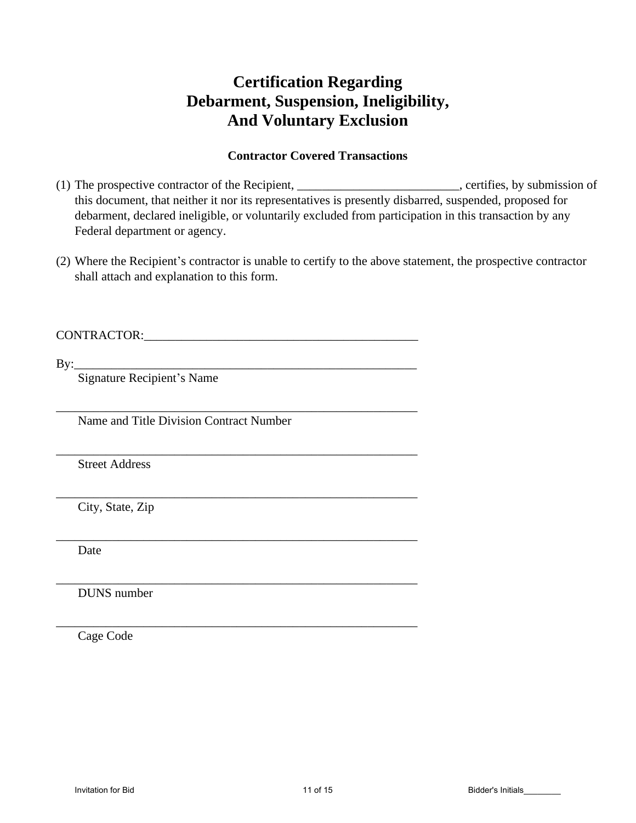# **Certification Regarding Debarment, Suspension, Ineligibility, And Voluntary Exclusion**

# **Contractor Covered Transactions**

- (1) The prospective contractor of the Recipient, \_\_\_\_\_\_\_\_\_\_\_\_\_\_\_\_\_\_\_\_\_\_, certifies, by submission of this document, that neither it nor its representatives is presently disbarred, suspended, proposed for debarment, declared ineligible, or voluntarily excluded from participation in this transaction by any Federal department or agency.
- (2) Where the Recipient's contractor is unable to certify to the above statement, the prospective contractor shall attach and explanation to this form.

CONTRACTOR:\_\_\_\_\_\_\_\_\_\_\_\_\_\_\_\_\_\_\_\_\_\_\_\_\_\_\_\_\_\_\_\_\_\_\_\_\_\_\_\_\_\_\_\_

By:\_\_\_\_\_\_\_\_\_\_\_\_\_\_\_\_\_\_\_\_\_\_\_\_\_\_\_\_\_\_\_\_\_\_\_\_\_\_\_\_\_\_\_\_\_\_\_\_\_\_\_\_\_\_\_

Signature Recipient's Name

Name and Title Division Contract Number

\_\_\_\_\_\_\_\_\_\_\_\_\_\_\_\_\_\_\_\_\_\_\_\_\_\_\_\_\_\_\_\_\_\_\_\_\_\_\_\_\_\_\_\_\_\_\_\_\_\_\_\_\_\_\_\_\_\_

\_\_\_\_\_\_\_\_\_\_\_\_\_\_\_\_\_\_\_\_\_\_\_\_\_\_\_\_\_\_\_\_\_\_\_\_\_\_\_\_\_\_\_\_\_\_\_\_\_\_\_\_\_\_\_\_\_\_

\_\_\_\_\_\_\_\_\_\_\_\_\_\_\_\_\_\_\_\_\_\_\_\_\_\_\_\_\_\_\_\_\_\_\_\_\_\_\_\_\_\_\_\_\_\_\_\_\_\_\_\_\_\_\_\_\_\_

\_\_\_\_\_\_\_\_\_\_\_\_\_\_\_\_\_\_\_\_\_\_\_\_\_\_\_\_\_\_\_\_\_\_\_\_\_\_\_\_\_\_\_\_\_\_\_\_\_\_\_\_\_\_\_\_\_\_

\_\_\_\_\_\_\_\_\_\_\_\_\_\_\_\_\_\_\_\_\_\_\_\_\_\_\_\_\_\_\_\_\_\_\_\_\_\_\_\_\_\_\_\_\_\_\_\_\_\_\_\_\_\_\_\_\_\_

\_\_\_\_\_\_\_\_\_\_\_\_\_\_\_\_\_\_\_\_\_\_\_\_\_\_\_\_\_\_\_\_\_\_\_\_\_\_\_\_\_\_\_\_\_\_\_\_\_\_\_\_\_\_\_\_\_\_

Street Address

City, State, Zip

Date

DUNS number

Cage Code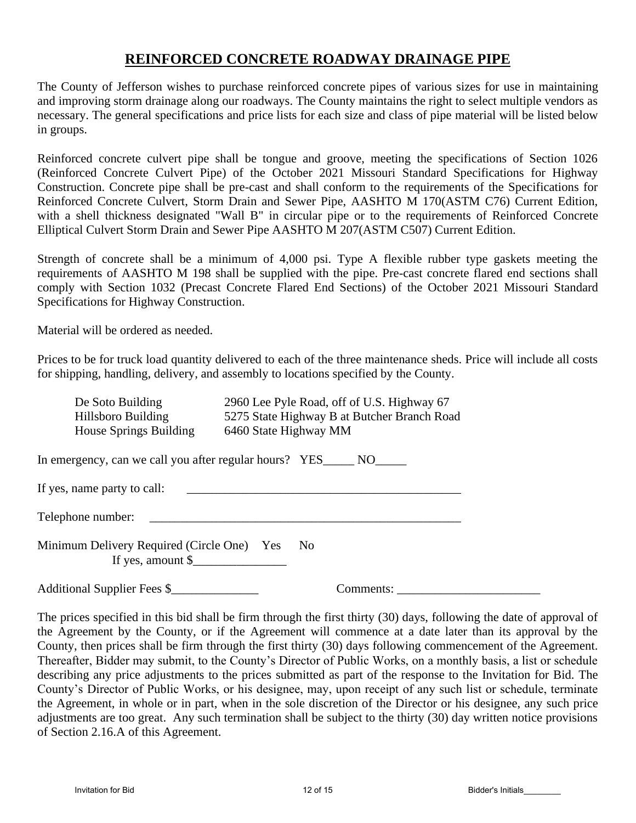# **REINFORCED CONCRETE ROADWAY DRAINAGE PIPE**

The County of Jefferson wishes to purchase reinforced concrete pipes of various sizes for use in maintaining and improving storm drainage along our roadways. The County maintains the right to select multiple vendors as necessary. The general specifications and price lists for each size and class of pipe material will be listed below in groups.

Reinforced concrete culvert pipe shall be tongue and groove, meeting the specifications of Section 1026 (Reinforced Concrete Culvert Pipe) of the October 2021 Missouri Standard Specifications for Highway Construction. Concrete pipe shall be pre-cast and shall conform to the requirements of the Specifications for Reinforced Concrete Culvert, Storm Drain and Sewer Pipe, AASHTO M 170(ASTM C76) Current Edition, with a shell thickness designated "Wall B" in circular pipe or to the requirements of Reinforced Concrete Elliptical Culvert Storm Drain and Sewer Pipe AASHTO M 207(ASTM C507) Current Edition.

Strength of concrete shall be a minimum of 4,000 psi. Type A flexible rubber type gaskets meeting the requirements of AASHTO M 198 shall be supplied with the pipe. Pre-cast concrete flared end sections shall comply with Section 1032 (Precast Concrete Flared End Sections) of the October 2021 Missouri Standard Specifications for Highway Construction.

Material will be ordered as needed.

Prices to be for truck load quantity delivered to each of the three maintenance sheds. Price will include all costs for shipping, handling, delivery, and assembly to locations specified by the County.

| De Soto Building                                                           | 2960 Lee Pyle Road, off of U.S. Highway 67                            |
|----------------------------------------------------------------------------|-----------------------------------------------------------------------|
| Hillsboro Building                                                         | 5275 State Highway B at Butcher Branch Road                           |
| House Springs Building                                                     | 6460 State Highway MM                                                 |
|                                                                            | In emergency, can we call you after regular hours? YES_______ NO_____ |
| If yes, name party to call:                                                |                                                                       |
| Telephone number:                                                          |                                                                       |
| Minimum Delivery Required (Circle One) Yes<br>If yes, amount $\frac{1}{2}$ | N <sub>0</sub>                                                        |
| Additional Supplier Fees \$                                                | Comments:                                                             |

The prices specified in this bid shall be firm through the first thirty (30) days, following the date of approval of the Agreement by the County, or if the Agreement will commence at a date later than its approval by the County, then prices shall be firm through the first thirty (30) days following commencement of the Agreement. Thereafter, Bidder may submit, to the County's Director of Public Works, on a monthly basis, a list or schedule describing any price adjustments to the prices submitted as part of the response to the Invitation for Bid. The County's Director of Public Works, or his designee, may, upon receipt of any such list or schedule, terminate the Agreement, in whole or in part, when in the sole discretion of the Director or his designee, any such price adjustments are too great. Any such termination shall be subject to the thirty (30) day written notice provisions of Section 2.16.A of this Agreement.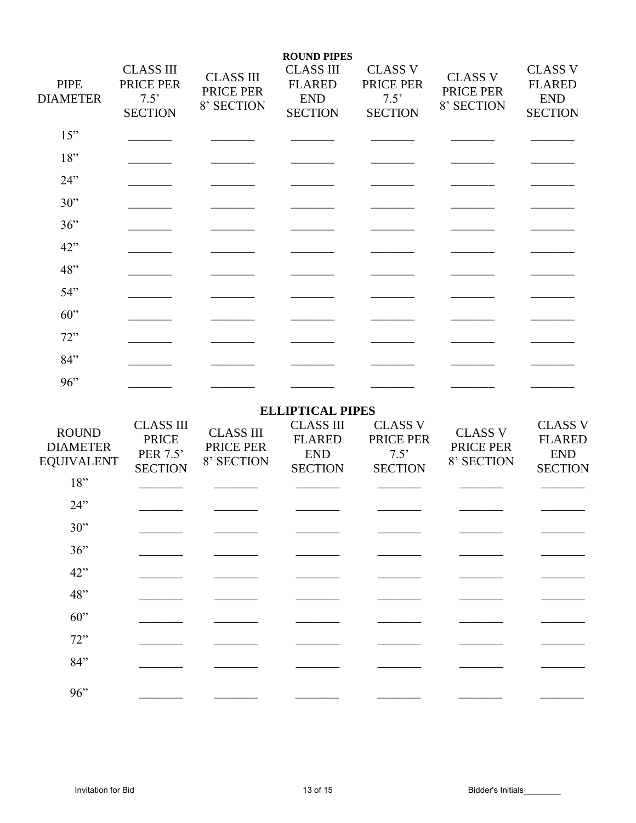| <b>PIPE</b><br><b>DIAMETER</b>                       | <b>CLASS III</b><br>PRICE PER<br>7.5'<br><b>SECTION</b>        | <b>CLASS III</b><br>PRICE PER<br>8' SECTION | <b>ROUND PIPES</b><br><b>CLASS III</b><br><b>FLARED</b><br><b>END</b><br><b>SECTION</b> | <b>CLASS V</b><br>PRICE PER<br>7.5'<br><b>SECTION</b> | <b>CLASS V</b><br>PRICE PER<br>8' SECTION | <b>CLASS V</b><br><b>FLARED</b><br><b>END</b><br><b>SECTION</b> |
|------------------------------------------------------|----------------------------------------------------------------|---------------------------------------------|-----------------------------------------------------------------------------------------|-------------------------------------------------------|-------------------------------------------|-----------------------------------------------------------------|
| 15"                                                  |                                                                |                                             |                                                                                         |                                                       |                                           |                                                                 |
| 18"                                                  |                                                                |                                             |                                                                                         |                                                       |                                           |                                                                 |
| 24"                                                  |                                                                |                                             |                                                                                         |                                                       |                                           |                                                                 |
| 30"                                                  |                                                                |                                             |                                                                                         |                                                       |                                           |                                                                 |
| 36"                                                  |                                                                |                                             |                                                                                         |                                                       |                                           |                                                                 |
| 42"                                                  |                                                                |                                             |                                                                                         |                                                       |                                           |                                                                 |
| 48"                                                  |                                                                |                                             |                                                                                         |                                                       |                                           |                                                                 |
| 54"                                                  |                                                                |                                             |                                                                                         |                                                       |                                           |                                                                 |
| $60$ "                                               |                                                                |                                             |                                                                                         |                                                       |                                           |                                                                 |
| 72"                                                  |                                                                |                                             |                                                                                         |                                                       |                                           |                                                                 |
| 84"                                                  |                                                                |                                             |                                                                                         |                                                       |                                           |                                                                 |
| 96"                                                  |                                                                |                                             |                                                                                         |                                                       |                                           |                                                                 |
|                                                      |                                                                |                                             | <b>ELLIPTICAL PIPES</b>                                                                 |                                                       |                                           |                                                                 |
| <b>ROUND</b><br><b>DIAMETER</b><br><b>EQUIVALENT</b> | <b>CLASS III</b><br><b>PRICE</b><br>PER 7.5'<br><b>SECTION</b> | <b>CLASS III</b><br>PRICE PER<br>8' SECTION | <b>CLASS III</b><br><b>FLARED</b><br><b>END</b><br><b>SECTION</b>                       | <b>CLASS V</b><br>PRICE PER<br>7.5'<br><b>SECTION</b> | <b>CLASS V</b><br>PRICE PER<br>8' SECTION | <b>CLASS V</b><br><b>FLARED</b><br><b>END</b><br><b>SECTION</b> |
| 18"                                                  |                                                                |                                             |                                                                                         |                                                       |                                           |                                                                 |
| 24"                                                  |                                                                |                                             |                                                                                         |                                                       |                                           |                                                                 |
| 30"                                                  |                                                                |                                             |                                                                                         |                                                       |                                           |                                                                 |
| 36"                                                  |                                                                |                                             |                                                                                         |                                                       |                                           |                                                                 |
| 42"                                                  |                                                                |                                             |                                                                                         |                                                       |                                           |                                                                 |
| 48"                                                  |                                                                |                                             |                                                                                         |                                                       |                                           |                                                                 |
| 60"                                                  |                                                                |                                             |                                                                                         |                                                       |                                           |                                                                 |
| 72"                                                  |                                                                |                                             |                                                                                         |                                                       |                                           |                                                                 |
| 84"                                                  |                                                                |                                             |                                                                                         |                                                       |                                           |                                                                 |
| 96"                                                  |                                                                |                                             |                                                                                         |                                                       |                                           |                                                                 |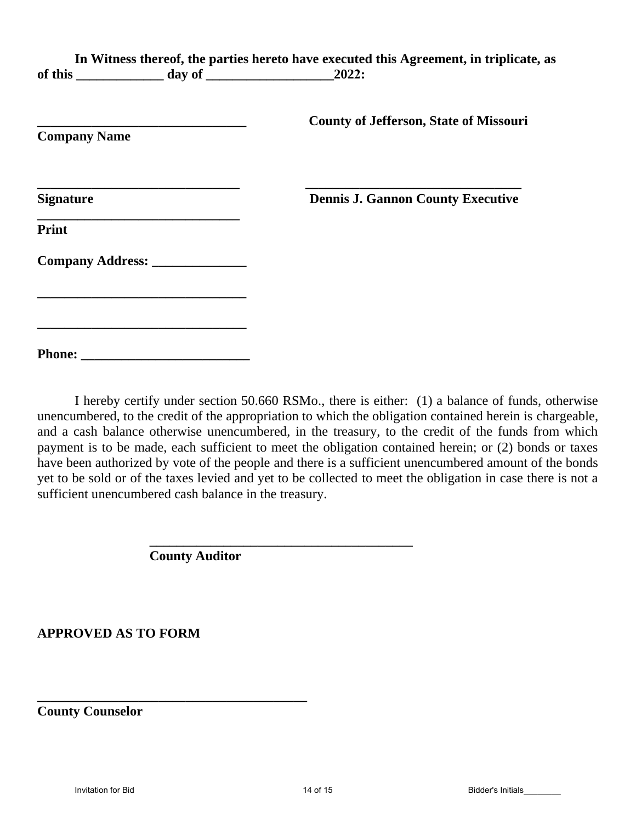|                                                                                                               |                                                                                                                                                   | In Witness thereof, the parties hereto have executed this Agreement, in triplicate, as |
|---------------------------------------------------------------------------------------------------------------|---------------------------------------------------------------------------------------------------------------------------------------------------|----------------------------------------------------------------------------------------|
| <b>Company Name</b>                                                                                           |                                                                                                                                                   | <b>County of Jefferson, State of Missouri</b>                                          |
| the control of the control of the control of the control of the control of the control of<br><b>Signature</b> |                                                                                                                                                   | <b>Dennis J. Gannon County Executive</b>                                               |
| <b>Print</b>                                                                                                  |                                                                                                                                                   |                                                                                        |
|                                                                                                               | Company Address: _______________                                                                                                                  |                                                                                        |
|                                                                                                               | <u> 1980 - Johann John Stone, mars et al. (1980)</u><br>the control of the control of the control of the control of the control of the control of |                                                                                        |
|                                                                                                               |                                                                                                                                                   |                                                                                        |

I hereby certify under section 50.660 RSMo., there is either: (1) a balance of funds, otherwise unencumbered, to the credit of the appropriation to which the obligation contained herein is chargeable, and a cash balance otherwise unencumbered, in the treasury, to the credit of the funds from which payment is to be made, each sufficient to meet the obligation contained herein; or (2) bonds or taxes have been authorized by vote of the people and there is a sufficient unencumbered amount of the bonds yet to be sold or of the taxes levied and yet to be collected to meet the obligation in case there is not a sufficient unencumbered cash balance in the treasury.

**\_\_\_\_\_\_\_\_\_\_\_\_\_\_\_\_\_\_\_\_\_\_\_\_\_\_\_\_\_\_\_\_\_\_\_\_\_\_\_**

**County Auditor**

**\_\_\_\_\_\_\_\_\_\_\_\_\_\_\_\_\_\_\_\_\_\_\_\_\_\_\_\_\_\_\_\_\_\_\_\_\_\_\_\_**

**APPROVED AS TO FORM**

**County Counselor**